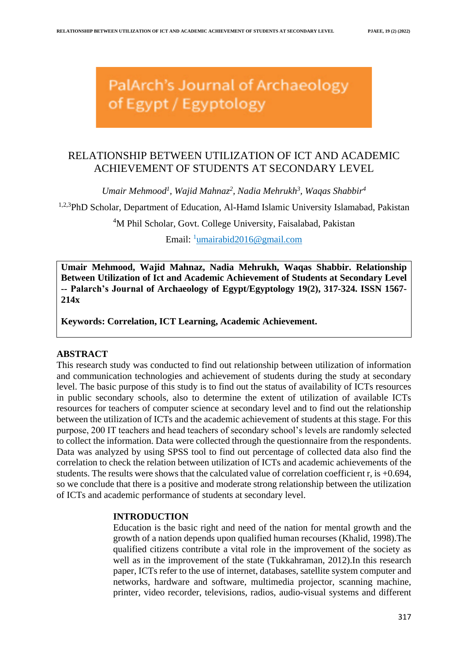PalArch's Journal of Archaeology of Egypt / Egyptology

# RELATIONSHIP BETWEEN UTILIZATION OF ICT AND ACADEMIC ACHIEVEMENT OF STUDENTS AT SECONDARY LEVEL

*Umair Mehmood<sup>1</sup> , Wajid Mahnaz<sup>2</sup> , Nadia Mehrukh<sup>3</sup> , Waqas Shabbir<sup>4</sup>*

<sup>1,2,3</sup>PhD Scholar, Department of Education, Al-Hamd Islamic University Islamabad, Pakistan

<sup>4</sup>M Phil Scholar, Govt. College University, Faisalabad, Pakistan

Email: <sup>1</sup>[umairabid2016@gmail.com](mailto:umairabid2016@gmail.com)

**Umair Mehmood, Wajid Mahnaz, Nadia Mehrukh, Waqas Shabbir. Relationship Between Utilization of Ict and Academic Achievement of Students at Secondary Level -- Palarch's Journal of Archaeology of Egypt/Egyptology 19(2), 317-324. ISSN 1567- 214x**

**Keywords: Correlation, ICT Learning, Academic Achievement.**

## **ABSTRACT**

This research study was conducted to find out relationship between utilization of information and communication technologies and achievement of students during the study at secondary level. The basic purpose of this study is to find out the status of availability of ICTs resources in public secondary schools, also to determine the extent of utilization of available ICTs resources for teachers of computer science at secondary level and to find out the relationship between the utilization of ICTs and the academic achievement of students at this stage. For this purpose, 200 IT teachers and head teachers of secondary school's levels are randomly selected to collect the information. Data were collected through the questionnaire from the respondents. Data was analyzed by using SPSS tool to find out percentage of collected data also find the correlation to check the relation between utilization of ICTs and academic achievements of the students. The results were shows that the calculated value of correlation coefficient r, is  $+0.694$ , so we conclude that there is a positive and moderate strong relationship between the utilization of ICTs and academic performance of students at secondary level.

## **INTRODUCTION**

Education is the basic right and need of the nation for mental growth and the growth of a nation depends upon qualified human recourses (Khalid, 1998).The qualified citizens contribute a vital role in the improvement of the society as well as in the improvement of the state (Tukkahraman, 2012).In this research paper, ICTs refer to the use of internet, databases, satellite system computer and networks, hardware and software, multimedia projector, scanning machine, printer, video recorder, televisions, radios, audio-visual systems and different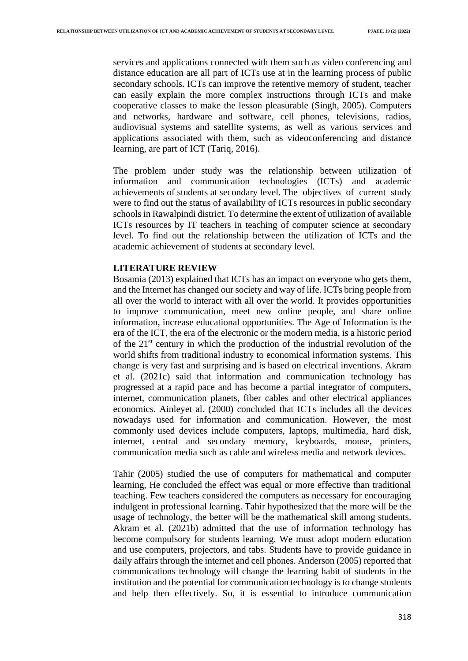services and applications connected with them such as video conferencing and distance education are all part of ICTs use at in the learning process of public secondary schools. ICTs can improve the retentive memory of student, teacher can easily explain the more complex instructions through ICTs and make cooperative classes to make the lesson pleasurable (Singh, 2005). Computers and networks, hardware and software, cell phones, televisions, radios, audiovisual systems and satellite systems, as well as various services and applications associated with them, such as videoconferencing and distance learning, are part of ICT (Tariq, 2016).

The problem under study was the relationship between utilization of information and communication technologies (ICTs) and academic achievements of students at secondary level. The objectives of current study were to find out the status of availability of ICTs resources in public secondary schools in Rawalpindi district. To determine the extent of utilization of available ICTs resources by IT teachers in teaching of computer science at secondary level. To find out the relationship between the utilization of ICTs and the academic achievement of students at secondary level.

#### **LITERATURE REVIEW**

Bosamia (2013) explained that ICTs has an impact on everyone who gets them, and the Internet has changed our society and way of life. ICTs bring people from all over the world to interact with all over the world. It provides opportunities to improve communication, meet new online people, and share online information, increase educational opportunities. The Age of Information is the era of the ICT, the era of the electronic or the modern media, is a historic period of the 21st century in which the production of the industrial revolution of the world shifts from traditional industry to economical information systems. This change is very fast and surprising and is based on electrical inventions. Akram et al. (2021c) said that information and communication technology has progressed at a rapid pace and has become a partial integrator of computers, internet, communication planets, fiber cables and other electrical appliances economics. Ainleyet al. (2000) concluded that ICTs includes all the devices nowadays used for information and communication. However, the most commonly used devices include computers, laptops, multimedia, hard disk, internet, central and secondary memory, keyboards, mouse, printers, communication media such as cable and wireless media and network devices.

Tahir (2005) studied the use of computers for mathematical and computer learning, He concluded the effect was equal or more effective than traditional teaching. Few teachers considered the computers as necessary for encouraging indulgent in professional learning. Tahir hypothesized that the more will be the usage of technology, the better will be the mathematical skill among students. Akram et al. (2021b) admitted that the use of information technology has become compulsory for students learning. We must adopt modern education and use computers, projectors, and tabs. Students have to provide guidance in daily affairs through the internet and cell phones. Anderson (2005) reported that communications technology will change the learning habit of students in the institution and the potential for communication technology is to change students and help then effectively. So, it is essential to introduce communication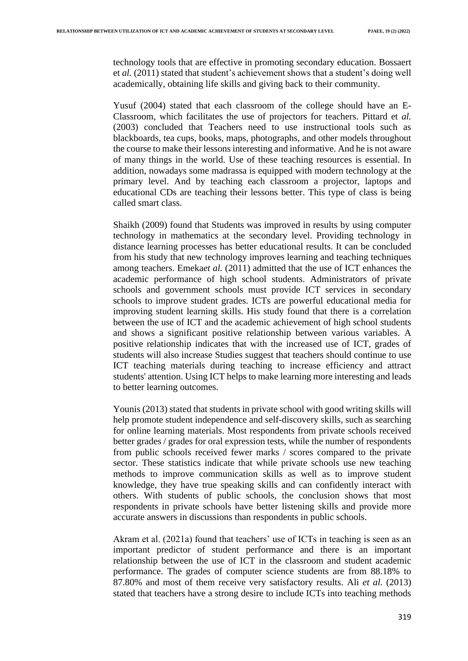technology tools that are effective in promoting secondary education. Bossaert et *al.* (2011) stated that student's achievement shows that a student's doing well academically, obtaining life skills and giving back to their community.

Yusuf (2004) stated that each classroom of the college should have an E-Classroom, which facilitates the use of projectors for teachers. Pittard et *al.* (2003) concluded that Teachers need to use instructional tools such as blackboards, tea cups, books, maps, photographs, and other models throughout the course to make their lessons interesting and informative. And he is not aware of many things in the world. Use of these teaching resources is essential. In addition, nowadays some madrassa is equipped with modern technology at the primary level. And by teaching each classroom a projector, laptops and educational CDs are teaching their lessons better. This type of class is being called smart class.

Shaikh (2009) found that Students was improved in results by using computer technology in mathematics at the secondary level. Providing technology in distance learning processes has better educational results. It can be concluded from his study that new technology improves learning and teaching techniques among teachers. Emeka*et al.* (2011) admitted that the use of ICT enhances the academic performance of high school students. Administrators of private schools and government schools must provide ICT services in secondary schools to improve student grades. ICTs are powerful educational media for improving student learning skills. His study found that there is a correlation between the use of ICT and the academic achievement of high school students and shows a significant positive relationship between various variables. A positive relationship indicates that with the increased use of ICT, grades of students will also increase Studies suggest that teachers should continue to use ICT teaching materials during teaching to increase efficiency and attract students' attention. Using ICT helps to make learning more interesting and leads to better learning outcomes.

Younis (2013) stated that students in private school with good writing skills will help promote student independence and self-discovery skills, such as searching for online learning materials. Most respondents from private schools received better grades / grades for oral expression tests, while the number of respondents from public schools received fewer marks / scores compared to the private sector. These statistics indicate that while private schools use new teaching methods to improve communication skills as well as to improve student knowledge, they have true speaking skills and can confidently interact with others. With students of public schools, the conclusion shows that most respondents in private schools have better listening skills and provide more accurate answers in discussions than respondents in public schools.

Akram et al. (2021a) found that teachers' use of ICTs in teaching is seen as an important predictor of student performance and there is an important relationship between the use of ICT in the classroom and student academic performance. The grades of computer science students are from 88.18% to 87.80% and most of them receive very satisfactory results. Ali *et al.* (2013) stated that teachers have a strong desire to include ICTs into teaching methods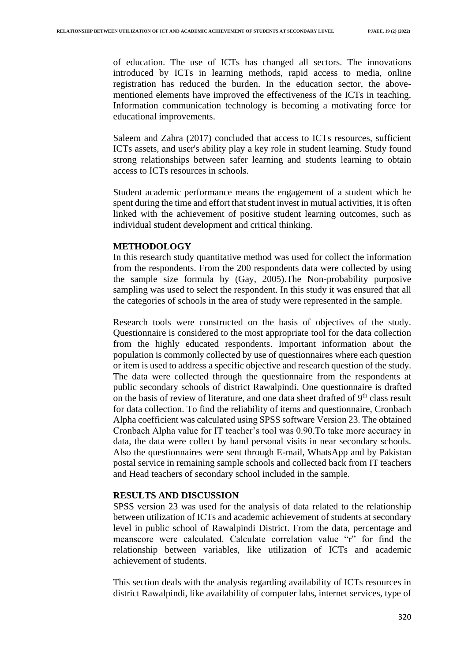of education. The use of ICTs has changed all sectors. The innovations introduced by ICTs in learning methods, rapid access to media, online registration has reduced the burden. In the education sector, the abovementioned elements have improved the effectiveness of the ICTs in teaching. Information communication technology is becoming a motivating force for educational improvements.

Saleem and Zahra (2017) concluded that access to ICTs resources, sufficient ICTs assets, and user's ability play a key role in student learning. Study found strong relationships between safer learning and students learning to obtain access to ICTs resources in schools.

Student academic performance means the engagement of a student which he spent during the time and effort that student invest in mutual activities, it is often linked with the achievement of positive student learning outcomes, such as individual student development and critical thinking.

### **METHODOLOGY**

In this research study quantitative method was used for collect the information from the respondents. From the 200 respondents data were collected by using the sample size formula by (Gay, 2005).The Non-probability purposive sampling was used to select the respondent. In this study it was ensured that all the categories of schools in the area of study were represented in the sample.

Research tools were constructed on the basis of objectives of the study. Questionnaire is considered to the most appropriate tool for the data collection from the highly educated respondents. Important information about the population is commonly collected by use of questionnaires where each question or item is used to address a specific objective and research question of the study. The data were collected through the questionnaire from the respondents at public secondary schools of district Rawalpindi. One questionnaire is drafted on the basis of review of literature, and one data sheet drafted of  $9<sup>th</sup>$  class result for data collection. To find the reliability of items and questionnaire, Cronbach Alpha coefficient was calculated using SPSS software Version 23. The obtained Cronbach Alpha value for IT teacher's tool was 0.90.To take more accuracy in data, the data were collect by hand personal visits in near secondary schools. Also the questionnaires were sent through E-mail, WhatsApp and by Pakistan postal service in remaining sample schools and collected back from IT teachers and Head teachers of secondary school included in the sample.

### **RESULTS AND DISCUSSION**

SPSS version 23 was used for the analysis of data related to the relationship between utilization of ICTs and academic achievement of students at secondary level in public school of Rawalpindi District. From the data, percentage and meanscore were calculated. Calculate correlation value "r" for find the relationship between variables, like utilization of ICTs and academic achievement of students.

This section deals with the analysis regarding availability of ICTs resources in district Rawalpindi, like availability of computer labs, internet services, type of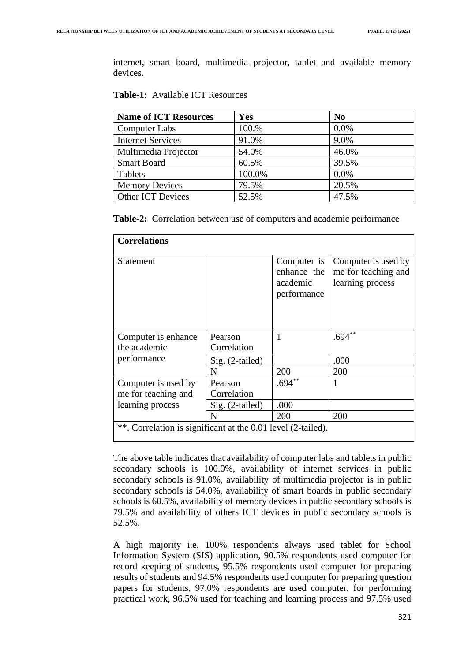internet, smart board, multimedia projector, tablet and available memory devices.

| <b>Name of ICT Resources</b> | Yes    | N <sub>0</sub> |
|------------------------------|--------|----------------|
| <b>Computer Labs</b>         | 100.%  | 0.0%           |
| <b>Internet Services</b>     | 91.0%  | 9.0%           |
| Multimedia Projector         | 54.0%  | 46.0%          |
| <b>Smart Board</b>           | 60.5%  | 39.5%          |
| Tablets                      | 100.0% | 0.0%           |
| <b>Memory Devices</b>        | 79.5%  | 20.5%          |
| <b>Other ICT Devices</b>     | 52.5%  | 47.5%          |

**Table-2:** Correlation between use of computers and academic performance

| <b>Correlations</b>                                          |                 |                                                       |                                                                |  |
|--------------------------------------------------------------|-----------------|-------------------------------------------------------|----------------------------------------------------------------|--|
| Statement                                                    |                 | Computer is<br>enhance the<br>academic<br>performance | Computer is used by<br>me for teaching and<br>learning process |  |
| Computer is enhance                                          | Pearson         |                                                       | $.694**$                                                       |  |
| the academic                                                 | Correlation     |                                                       |                                                                |  |
| performance                                                  | Sig. (2-tailed) |                                                       | .000                                                           |  |
|                                                              | N               | 200                                                   | 200                                                            |  |
| Computer is used by                                          | Pearson         | $.694$ <sup>**</sup>                                  |                                                                |  |
| me for teaching and                                          | Correlation     |                                                       |                                                                |  |
| learning process                                             | Sig. (2-tailed) | .000                                                  |                                                                |  |
|                                                              | N               | 200                                                   | 200                                                            |  |
| **. Correlation is significant at the 0.01 level (2-tailed). |                 |                                                       |                                                                |  |

The above table indicates that availability of computer labs and tablets in public secondary schools is 100.0%, availability of internet services in public secondary schools is 91.0%, availability of multimedia projector is in public secondary schools is 54.0%, availability of smart boards in public secondary schools is 60.5%, availability of memory devices in public secondary schools is 79.5% and availability of others ICT devices in public secondary schools is 52.5%.

A high majority i.e. 100% respondents always used tablet for School Information System (SIS) application, 90.5% respondents used computer for record keeping of students, 95.5% respondents used computer for preparing results of students and 94.5% respondents used computer for preparing question papers for students, 97.0% respondents are used computer, for performing practical work, 96.5% used for teaching and learning process and 97.5% used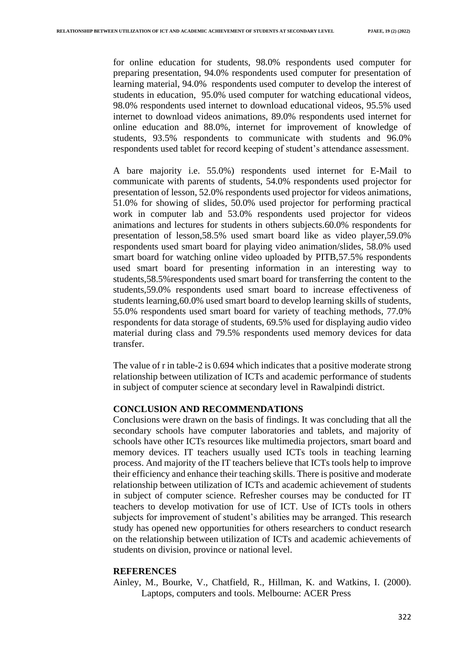for online education for students, 98.0% respondents used computer for preparing presentation, 94.0% respondents used computer for presentation of learning material, 94.0% respondents used computer to develop the interest of students in education, 95.0% used computer for watching educational videos, 98.0% respondents used internet to download educational videos, 95.5% used internet to download videos animations, 89.0% respondents used internet for online education and 88.0%, internet for improvement of knowledge of students, 93.5% respondents to communicate with students and 96.0% respondents used tablet for record keeping of student's attendance assessment.

A bare majority i.e. 55.0%) respondents used internet for E-Mail to communicate with parents of students, 54.0% respondents used projector for presentation of lesson, 52.0% respondents used projector for videos animations, 51.0% for showing of slides, 50.0% used projector for performing practical work in computer lab and 53.0% respondents used projector for videos animations and lectures for students in others subjects.60.0% respondents for presentation of lesson,58.5% used smart board like as video player,59.0% respondents used smart board for playing video animation/slides, 58.0% used smart board for watching online video uploaded by PITB,57.5% respondents used smart board for presenting information in an interesting way to students,58.5%respondents used smart board for transferring the content to the students,59.0% respondents used smart board to increase effectiveness of students learning,60.0% used smart board to develop learning skills of students, 55.0% respondents used smart board for variety of teaching methods, 77.0% respondents for data storage of students, 69.5% used for displaying audio video material during class and 79.5% respondents used memory devices for data transfer.

The value of r in table-2 is 0.694 which indicates that a positive moderate strong relationship between utilization of ICTs and academic performance of students in subject of computer science at secondary level in Rawalpindi district.

## **CONCLUSION AND RECOMMENDATIONS**

Conclusions were drawn on the basis of findings. It was concluding that all the secondary schools have computer laboratories and tablets, and majority of schools have other ICTs resources like multimedia projectors, smart board and memory devices. IT teachers usually used ICTs tools in teaching learning process. And majority of the IT teachers believe that ICTs tools help to improve their efficiency and enhance their teaching skills. There is positive and moderate relationship between utilization of ICTs and academic achievement of students in subject of computer science. Refresher courses may be conducted for IT teachers to develop motivation for use of ICT. Use of ICTs tools in others subjects for improvement of student's abilities may be arranged. This research study has opened new opportunities for others researchers to conduct research on the relationship between utilization of ICTs and academic achievements of students on division, province or national level.

## **REFERENCES**

Ainley, M., Bourke, V., Chatfield, R., Hillman, K. and Watkins, I. (2000). Laptops, computers and tools. Melbourne: ACER Press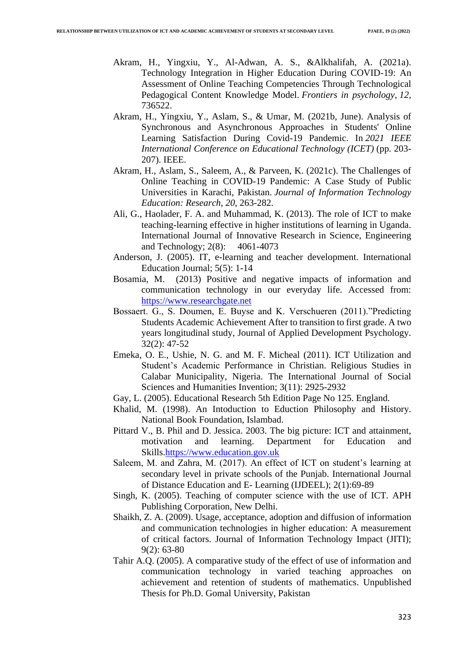- Akram, H., Yingxiu, Y., Al-Adwan, A. S., &Alkhalifah, A. (2021a). Technology Integration in Higher Education During COVID-19: An Assessment of Online Teaching Competencies Through Technological Pedagogical Content Knowledge Model. *Frontiers in psychology*, *12*, 736522.
- Akram, H., Yingxiu, Y., Aslam, S., & Umar, M. (2021b, June). Analysis of Synchronous and Asynchronous Approaches in Students' Online Learning Satisfaction During Covid-19 Pandemic. In *2021 IEEE International Conference on Educational Technology (ICET)* (pp. 203- 207). IEEE.
- Akram, H., Aslam, S., Saleem, A., & Parveen, K. (2021c). The Challenges of Online Teaching in COVID-19 Pandemic: A Case Study of Public Universities in Karachi, Pakistan. *Journal of Information Technology Education: Research*, *20*, 263-282.
- Ali, G., Haolader, F. A. and Muhammad, K. (2013). The role of ICT to make teaching-learning effective in higher institutions of learning in Uganda. International Journal of Innovative Research in Science, Engineering and Technology; 2(8): 4061-4073
- Anderson, J. (2005). IT, e-learning and teacher development. International Education Journal; 5(5): 1-14
- Bosamia, M. (2013) Positive and negative impacts of information and communication technology in our everyday life. Accessed from: [https://www.researchgate.net](https://www.researchgate.net/)
- Bossaert. G., S. Doumen, E. Buyse and K. Verschueren (2011)."Predicting Students Academic Achievement After to transition to first grade. A two years longitudinal study, Journal of Applied Development Psychology. 32(2): 47-52
- Emeka, O. E., Ushie, N. G. and M. F. Micheal (2011). ICT Utilization and Student's Academic Performance in Christian. Religious Studies in Calabar Municipality, Nigeria. The International Journal of Social Sciences and Humanities Invention; 3(11): 2925-2932
- Gay, L. (2005). Educational Research 5th Edition Page No 125. England.
- Khalid, M. (1998). An Intoduction to Eduction Philosophy and History. National Book Foundation, Islambad.
- Pittard V., B. Phil and D. Jessica. 2003. The big picture: ICT and attainment, motivation and learning. Department for Education and Skills[.https://www.education.gov.uk](https://www.education.gov.uk/)
- Saleem, M. and Zahra, M. (2017). An effect of ICT on student's learning at secondary level in private schools of the Punjab. International Journal of Distance Education and E- Learning (IJDEEL); 2(1):69-89
- Singh, K. (2005). Teaching of computer science with the use of ICT*.* APH Publishing Corporation, New Delhi.
- Shaikh, Z. A. (2009). Usage, acceptance, adoption and diffusion of information and communication technologies in higher education: A measurement of critical factors. Journal of Information Technology Impact (JITI); 9(2): 63-80
- Tahir A.Q. (2005). A comparative study of the effect of use of information and communication technology in varied teaching approaches on achievement and retention of students of mathematics. Unpublished Thesis for Ph.D. Gomal University, Pakistan